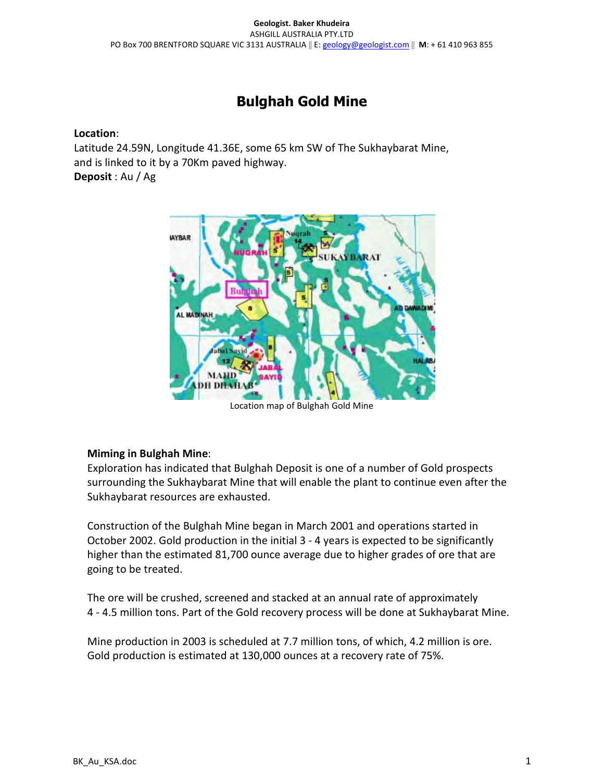## Bulghah Gold Mine

## Location:

Latitude 24.59N, Longitude 41.36E, some 65 km SW of The Sukhaybarat Mine, and is linked to it by a 70Km paved highway.

Deposit : Au / Ag



Location map of Bulghah Gold Mine

## Miming in Bulghah Mine:

Exploration has indicated that Bulghah Deposit is one of a number of Gold prospects surrounding the Sukhaybarat Mine that will enable the plant to continue even after the Sukhaybarat resources are exhausted.

Construction of the Bulghah Mine began in March 2001 and operations started in October 2002. Gold production in the initial 3 - 4 years is expected to be significantly higher than the estimated 81,700 ounce average due to higher grades of ore that are going to be treated.

The ore will be crushed, screened and stacked at an annual rate of approximately 4 - 4.5 million tons. Part of the Gold recovery process will be done at Sukhaybarat Mine.

Mine production in 2003 is scheduled at 7.7 million tons, of which, 4.2 million is ore. Gold production is estimated at 130,000 ounces at a recovery rate of 75%.